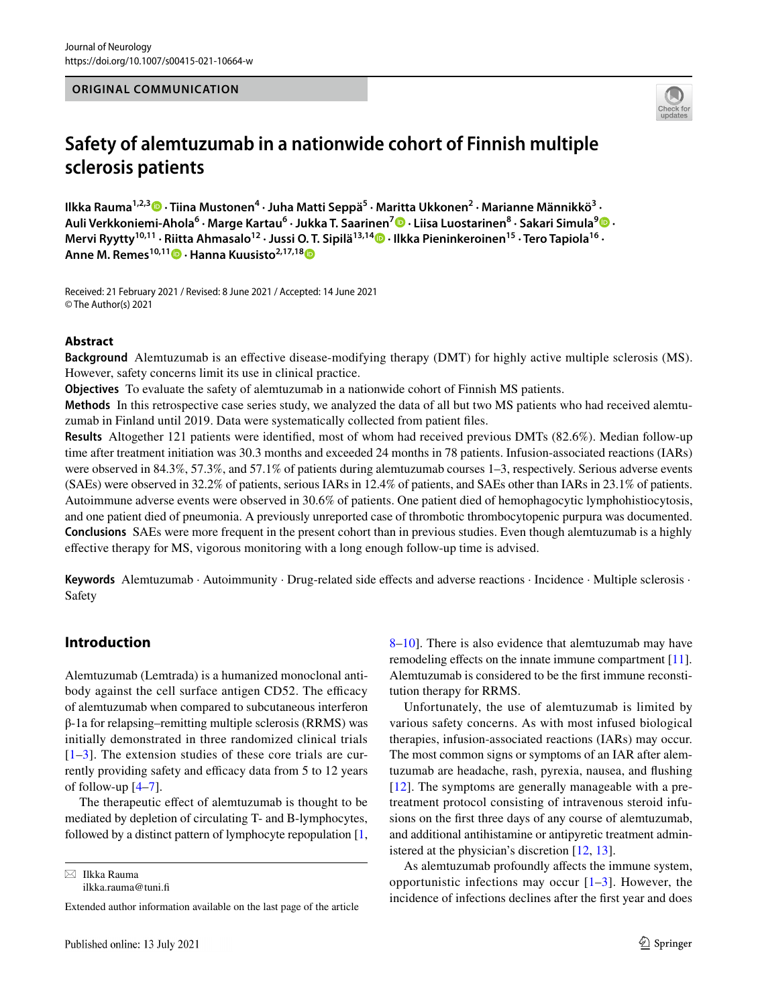### **ORIGINAL COMMUNICATION**



# **Safety of alemtuzumab in a nationwide cohort of Finnish multiple sclerosis patients**

IlkkaRauma<sup>1,2,3</sup> D · Tiina Mustonen<sup>4</sup> · Juha Matti Seppä<sup>5</sup> · Maritta Ukkonen<sup>2</sup> · Marianne Männikkö<sup>3</sup> · **Auli Verkkoniemi‑Ahola6 · Marge Kartau6 · Jukka T. Saarinen7  [·](http://orcid.org/0000-0001-6312-6573) Liisa Luostarinen8 · Sakari Simula[9](http://orcid.org/0000-0003-1623-5819) · Mervi Ryytty<sup>10,11</sup> [·](http://orcid.org/0000-0003-0183-9054) Riitta Ahmasalo<sup>12</sup> · Jussi O. T. Sipilä<sup>13,14</sup> · Ilkka Pieninkeroinen<sup>15</sup> · Tero Tapiola<sup>16</sup> · Anne M. Remes10,11  [·](http://orcid.org/0000-0002-4969-5101) Hanna Kuusisto2,17,1[8](http://orcid.org/0000-0002-3697-4961)**

Received: 21 February 2021 / Revised: 8 June 2021 / Accepted: 14 June 2021 © The Author(s) 2021

#### **Abstract**

**Background** Alemtuzumab is an efective disease-modifying therapy (DMT) for highly active multiple sclerosis (MS). However, safety concerns limit its use in clinical practice.

**Objectives** To evaluate the safety of alemtuzumab in a nationwide cohort of Finnish MS patients.

**Methods** In this retrospective case series study, we analyzed the data of all but two MS patients who had received alemtuzumab in Finland until 2019. Data were systematically collected from patient fles.

**Results** Altogether 121 patients were identifed, most of whom had received previous DMTs (82.6%). Median follow-up time after treatment initiation was 30.3 months and exceeded 24 months in 78 patients. Infusion-associated reactions (IARs) were observed in 84.3%, 57.3%, and 57.1% of patients during alemtuzumab courses 1–3, respectively. Serious adverse events (SAEs) were observed in 32.2% of patients, serious IARs in 12.4% of patients, and SAEs other than IARs in 23.1% of patients. Autoimmune adverse events were observed in 30.6% of patients. One patient died of hemophagocytic lymphohistiocytosis, and one patient died of pneumonia. A previously unreported case of thrombotic thrombocytopenic purpura was documented. **Conclusions** SAEs were more frequent in the present cohort than in previous studies. Even though alemtuzumab is a highly efective therapy for MS, vigorous monitoring with a long enough follow-up time is advised.

Keywords Alemtuzumab · Autoimmunity · Drug-related side effects and adverse reactions · Incidence · Multiple sclerosis · Safety

# **Introduction**

Alemtuzumab (Lemtrada) is a humanized monoclonal antibody against the cell surface antigen CD52. The efficacy of alemtuzumab when compared to subcutaneous interferon β-1a for relapsing–remitting multiple sclerosis (RRMS) was initially demonstrated in three randomized clinical trials  $[1-3]$  $[1-3]$  $[1-3]$ . The extension studies of these core trials are currently providing safety and efficacy data from 5 to 12 years of follow-up [[4–](#page-9-2)[7\]](#page-9-3).

The therapeutic effect of alemtuzumab is thought to be mediated by depletion of circulating T- and B-lymphocytes, followed by a distinct pattern of lymphocyte repopulation [[1,](#page-9-0)

 $\boxtimes$  Ilkka Rauma ilkka.rauma@tuni.f [8](#page-9-4)[–10](#page-9-5)]. There is also evidence that alemtuzumab may have remodeling effects on the innate immune compartment [\[11](#page-9-6)]. Alemtuzumab is considered to be the frst immune reconstitution therapy for RRMS.

Unfortunately, the use of alemtuzumab is limited by various safety concerns. As with most infused biological therapies, infusion-associated reactions (IARs) may occur. The most common signs or symptoms of an IAR after alemtuzumab are headache, rash, pyrexia, nausea, and fushing  $[12]$  $[12]$ . The symptoms are generally manageable with a pretreatment protocol consisting of intravenous steroid infusions on the frst three days of any course of alemtuzumab, and additional antihistamine or antipyretic treatment administered at the physician's discretion [\[12](#page-10-0), [13](#page-10-1)].

As alemtuzumab profoundly afects the immune system, opportunistic infections may occur  $[1-3]$  $[1-3]$  $[1-3]$ . However, the incidence of infections declines after the frst year and does

Extended author information available on the last page of the article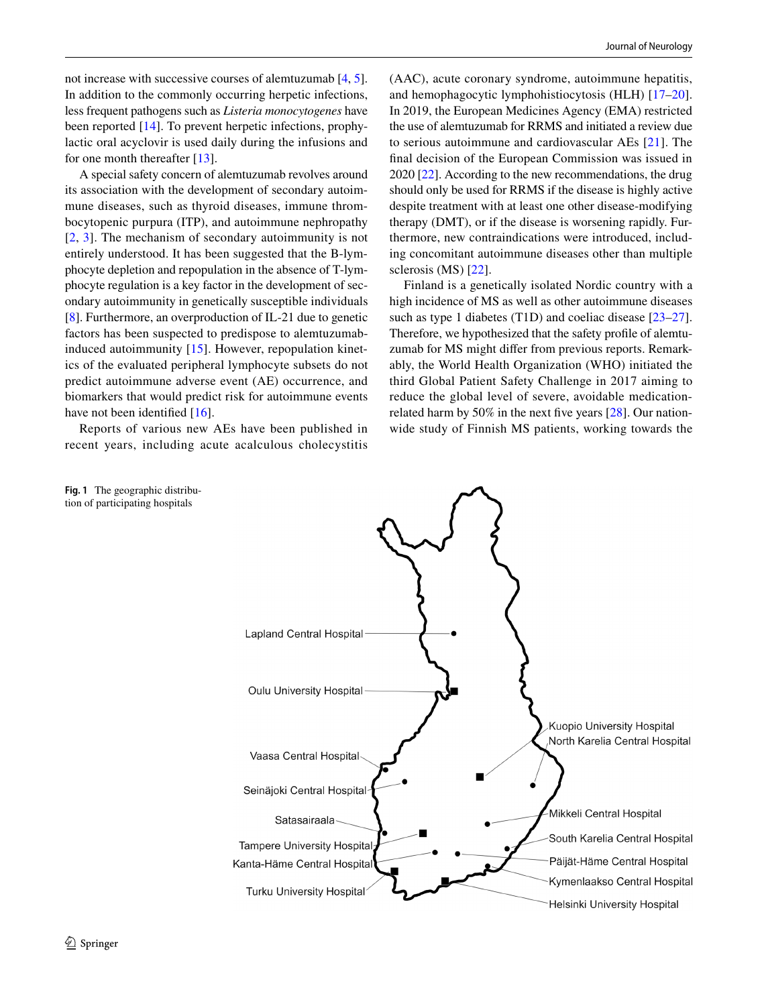not increase with successive courses of alemtuzumab [\[4](#page-9-2), [5](#page-9-7)]. In addition to the commonly occurring herpetic infections, less frequent pathogens such as *Listeria monocytogenes* have been reported [[14\]](#page-10-2). To prevent herpetic infections, prophylactic oral acyclovir is used daily during the infusions and for one month thereafter [[13](#page-10-1)].

A special safety concern of alemtuzumab revolves around its association with the development of secondary autoimmune diseases, such as thyroid diseases, immune thrombocytopenic purpura (ITP), and autoimmune nephropathy [[2,](#page-9-8) [3](#page-9-1)]. The mechanism of secondary autoimmunity is not entirely understood. It has been suggested that the B-lymphocyte depletion and repopulation in the absence of T-lymphocyte regulation is a key factor in the development of secondary autoimmunity in genetically susceptible individuals [\[8](#page-9-4)]. Furthermore, an overproduction of IL-21 due to genetic factors has been suspected to predispose to alemtuzumabinduced autoimmunity [[15](#page-10-3)]. However, repopulation kinetics of the evaluated peripheral lymphocyte subsets do not predict autoimmune adverse event (AE) occurrence, and biomarkers that would predict risk for autoimmune events have not been identified [[16\]](#page-10-4).

Reports of various new AEs have been published in recent years, including acute acalculous cholecystitis (AAC), acute coronary syndrome, autoimmune hepatitis, and hemophagocytic lymphohistiocytosis (HLH) [[17](#page-10-5)[–20](#page-10-6)]. In 2019, the European Medicines Agency (EMA) restricted the use of alemtuzumab for RRMS and initiated a review due to serious autoimmune and cardiovascular AEs [[21](#page-10-7)]. The fnal decision of the European Commission was issued in 2020 [\[22](#page-10-8)]. According to the new recommendations, the drug should only be used for RRMS if the disease is highly active despite treatment with at least one other disease-modifying therapy (DMT), or if the disease is worsening rapidly. Furthermore, new contraindications were introduced, including concomitant autoimmune diseases other than multiple sclerosis (MS) [[22\]](#page-10-8).

Finland is a genetically isolated Nordic country with a high incidence of MS as well as other autoimmune diseases such as type 1 diabetes (T1D) and coeliac disease [\[23](#page-10-9)[–27](#page-10-10)]. Therefore, we hypothesized that the safety profle of alemtuzumab for MS might difer from previous reports. Remarkably, the World Health Organization (WHO) initiated the third Global Patient Safety Challenge in 2017 aiming to reduce the global level of severe, avoidable medicationrelated harm by 50% in the next fve years [\[28\]](#page-10-11). Our nationwide study of Finnish MS patients, working towards the

<span id="page-1-0"></span>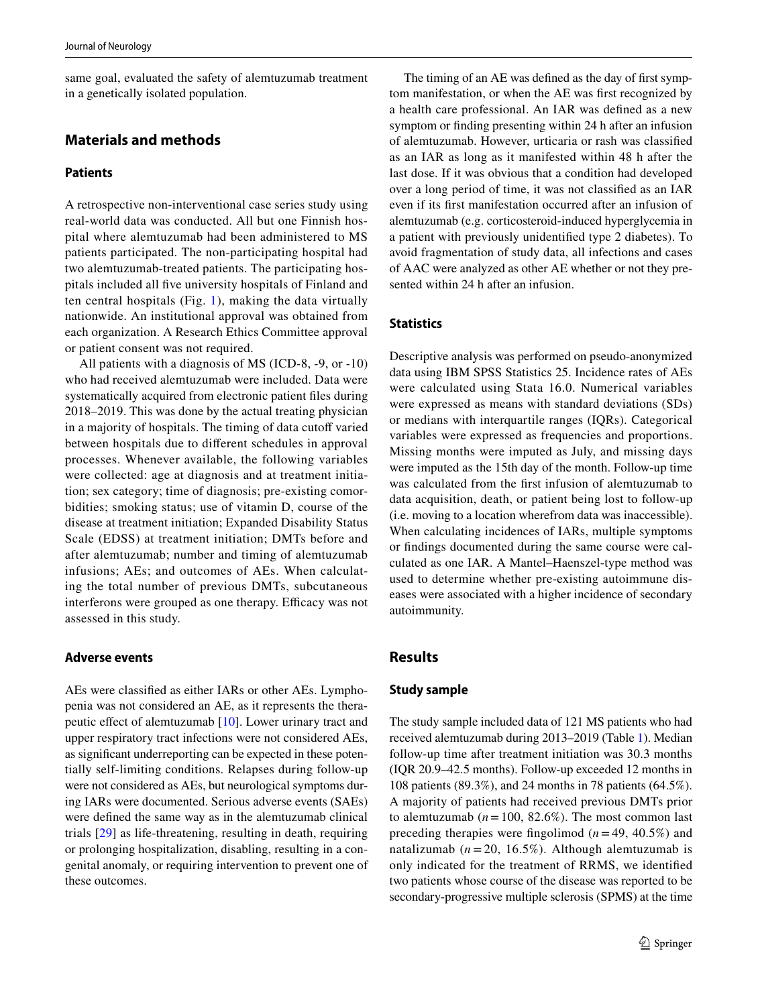same goal, evaluated the safety of alemtuzumab treatment in a genetically isolated population.

# **Materials and methods**

## **Patients**

A retrospective non-interventional case series study using real-world data was conducted. All but one Finnish hospital where alemtuzumab had been administered to MS patients participated. The non-participating hospital had two alemtuzumab-treated patients. The participating hospitals included all fve university hospitals of Finland and ten central hospitals (Fig. [1\)](#page-1-0), making the data virtually nationwide. An institutional approval was obtained from each organization. A Research Ethics Committee approval or patient consent was not required.

All patients with a diagnosis of MS (ICD-8, -9, or -10) who had received alemtuzumab were included. Data were systematically acquired from electronic patient fles during 2018–2019. This was done by the actual treating physician in a majority of hospitals. The timing of data cutoff varied between hospitals due to diferent schedules in approval processes. Whenever available, the following variables were collected: age at diagnosis and at treatment initiation; sex category; time of diagnosis; pre-existing comorbidities; smoking status; use of vitamin D, course of the disease at treatment initiation; Expanded Disability Status Scale (EDSS) at treatment initiation; DMTs before and after alemtuzumab; number and timing of alemtuzumab infusions; AEs; and outcomes of AEs. When calculating the total number of previous DMTs, subcutaneous interferons were grouped as one therapy. Efficacy was not assessed in this study.

#### **Adverse events**

AEs were classifed as either IARs or other AEs. Lymphopenia was not considered an AE, as it represents the thera-peutic effect of alemtuzumab [[10\]](#page-9-5). Lower urinary tract and upper respiratory tract infections were not considered AEs, as signifcant underreporting can be expected in these potentially self-limiting conditions. Relapses during follow-up were not considered as AEs, but neurological symptoms during IARs were documented. Serious adverse events (SAEs) were defned the same way as in the alemtuzumab clinical trials [[29](#page-10-12)] as life-threatening, resulting in death, requiring or prolonging hospitalization, disabling, resulting in a congenital anomaly, or requiring intervention to prevent one of these outcomes.

The timing of an AE was defned as the day of frst symptom manifestation, or when the AE was frst recognized by a health care professional. An IAR was defned as a new symptom or fnding presenting within 24 h after an infusion of alemtuzumab. However, urticaria or rash was classifed as an IAR as long as it manifested within 48 h after the last dose. If it was obvious that a condition had developed over a long period of time, it was not classifed as an IAR even if its frst manifestation occurred after an infusion of alemtuzumab (e.g. corticosteroid-induced hyperglycemia in a patient with previously unidentifed type 2 diabetes). To avoid fragmentation of study data, all infections and cases of AAC were analyzed as other AE whether or not they presented within 24 h after an infusion.

## **Statistics**

Descriptive analysis was performed on pseudo-anonymized data using IBM SPSS Statistics 25. Incidence rates of AEs were calculated using Stata 16.0. Numerical variables were expressed as means with standard deviations (SDs) or medians with interquartile ranges (IQRs). Categorical variables were expressed as frequencies and proportions. Missing months were imputed as July, and missing days were imputed as the 15th day of the month. Follow-up time was calculated from the frst infusion of alemtuzumab to data acquisition, death, or patient being lost to follow-up (i.e. moving to a location wherefrom data was inaccessible). When calculating incidences of IARs, multiple symptoms or fndings documented during the same course were calculated as one IAR. A Mantel–Haenszel-type method was used to determine whether pre-existing autoimmune diseases were associated with a higher incidence of secondary autoimmunity.

## **Results**

#### **Study sample**

The study sample included data of 121 MS patients who had received alemtuzumab during 2013–2019 (Table [1\)](#page-3-0). Median follow-up time after treatment initiation was 30.3 months (IQR 20.9–42.5 months). Follow-up exceeded 12 months in 108 patients (89.3%), and 24 months in 78 patients (64.5%). A majority of patients had received previous DMTs prior to alemtuzumab  $(n=100, 82.6\%)$ . The most common last preceding therapies were fngolimod (*n*=49, 40.5%) and natalizumab  $(n=20, 16.5\%)$ . Although alemtuzumab is only indicated for the treatment of RRMS, we identifed two patients whose course of the disease was reported to be secondary-progressive multiple sclerosis (SPMS) at the time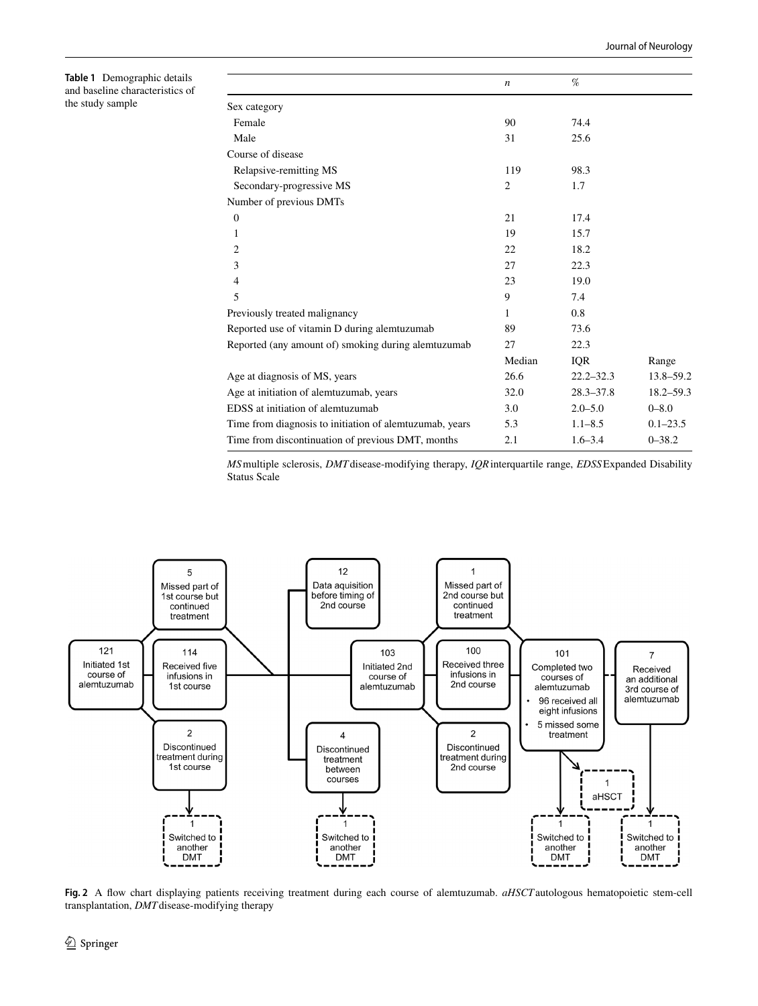<span id="page-3-0"></span>**Table 1** Demographic details and baseline characteristics of the study sample

|                                                         | $\boldsymbol{n}$ | %             |               |
|---------------------------------------------------------|------------------|---------------|---------------|
| Sex category                                            |                  |               |               |
| Female                                                  | 90               | 74.4          |               |
| Male                                                    | 31               | 25.6          |               |
| Course of disease                                       |                  |               |               |
| Relapsive-remitting MS                                  | 119              | 98.3          |               |
| Secondary-progressive MS                                | $\overline{c}$   | 1.7           |               |
| Number of previous DMTs                                 |                  |               |               |
| $\mathbf{0}$                                            | 21               | 17.4          |               |
| 1                                                       | 19               | 15.7          |               |
| 2                                                       | 22               | 18.2          |               |
| 3                                                       | 27               | 22.3          |               |
| 4                                                       | 23               | 19.0          |               |
| 5                                                       | 9                | 7.4           |               |
| Previously treated malignancy                           | 1                | 0.8           |               |
| Reported use of vitamin D during alemtuzumab            | 89               | 73.6          |               |
| Reported (any amount of) smoking during alemtuzumab     | 27               | 22.3          |               |
|                                                         | Median           | IQR           | Range         |
| Age at diagnosis of MS, years                           | 26.6             | $22.2 - 32.3$ | 13.8-59.2     |
| Age at initiation of alemtuzumab, years                 | 32.0             | $28.3 - 37.8$ | $18.2 - 59.3$ |
| EDSS at initiation of alemtuzumab                       | 3.0              | $2.0 - 5.0$   | $0 - 8.0$     |
| Time from diagnosis to initiation of alemtuzumab, years | 5.3              | $1.1 - 8.5$   | $0.1 - 23.5$  |
| Time from discontinuation of previous DMT, months       | 2.1              | $1.6 - 3.4$   | $0 - 38.2$    |

*MS*multiple sclerosis, *DMT*disease-modifying therapy, *IQR*interquartile range, *EDSS*Expanded Disability Status Scale



<span id="page-3-1"></span>**Fig. 2** A fow chart displaying patients receiving treatment during each course of alemtuzumab. *aHSCT*autologous hematopoietic stem-cell transplantation, *DMT*disease-modifying therapy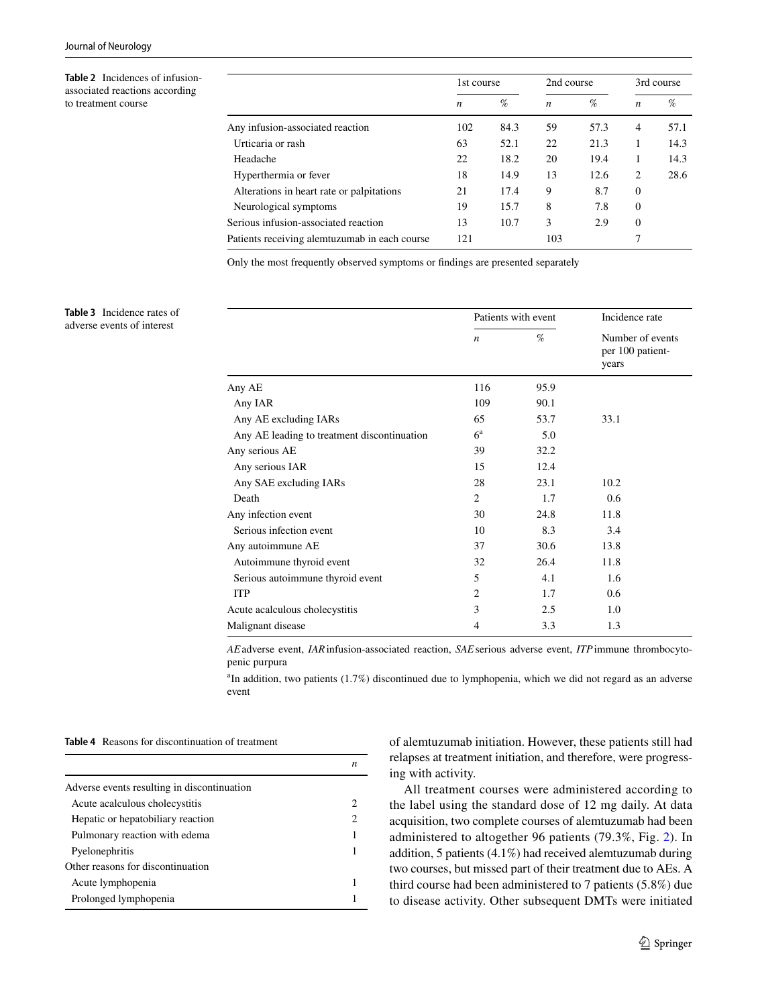<span id="page-4-0"></span>**Table 2** Incidences of infusionassociated reactions according to treatment course

|                                               | 1st course |      | 2nd course       |      | 3rd course     |      |
|-----------------------------------------------|------------|------|------------------|------|----------------|------|
|                                               | n          | %    | $\boldsymbol{n}$ | %    | n              | %    |
| Any infusion-associated reaction              | 102        | 84.3 | 59               | 57.3 | $\overline{4}$ | 57.1 |
| Urticaria or rash                             | 63         | 52.1 | 22               | 21.3 | 1              | 14.3 |
| Headache                                      | 22         | 18.2 | 20               | 19.4 | 1              | 14.3 |
| Hyperthermia or fever                         | 18         | 14.9 | 13               | 12.6 | 2              | 28.6 |
| Alterations in heart rate or palpitations     | 21         | 17.4 | 9                | 8.7  | $\theta$       |      |
| Neurological symptoms                         | 19         | 15.7 | 8                | 7.8  | $\Omega$       |      |
| Serious infusion-associated reaction          | 13         | 10.7 | 3                | 2.9  | $\Omega$       |      |
| Patients receiving alemtuzumab in each course | 121        |      | 103              |      | 7              |      |

Only the most frequently observed symptoms or fndings are presented separately

<span id="page-4-1"></span>**Table 3** Incidence rates of adverse events of interest

|                                             | Patients with event |      | Incidence rate                                |  |
|---------------------------------------------|---------------------|------|-----------------------------------------------|--|
|                                             | $\boldsymbol{n}$    | %    | Number of events<br>per 100 patient-<br>years |  |
| Any AE                                      | 116                 | 95.9 |                                               |  |
| Any IAR                                     | 109                 | 90.1 |                                               |  |
| Any AE excluding IARs                       | 65                  | 53.7 | 33.1                                          |  |
| Any AE leading to treatment discontinuation | $6^{\rm a}$         | 5.0  |                                               |  |
| Any serious AE                              | 39                  | 32.2 |                                               |  |
| Any serious IAR                             | 15                  | 12.4 |                                               |  |
| Any SAE excluding IARs                      | 28                  | 23.1 | 10.2                                          |  |
| Death                                       | 2                   | 1.7  | 0.6                                           |  |
| Any infection event                         | 30                  | 24.8 | 11.8                                          |  |
| Serious infection event                     | 10                  | 8.3  | 3.4                                           |  |
| Any autoimmune AE                           | 37                  | 30.6 | 13.8                                          |  |
| Autoimmune thyroid event                    | 32                  | 26.4 | 11.8                                          |  |
| Serious autoimmune thyroid event            | 5                   | 4.1  | 1.6                                           |  |
| <b>ITP</b>                                  | $\overline{c}$      | 1.7  | 0.6                                           |  |
| Acute acalculous cholecystitis              | 3                   | 2.5  | 1.0                                           |  |
| Malignant disease                           | 4                   | 3.3  | 1.3                                           |  |

*AE*adverse event, *IAR*infusion-associated reaction, *SAE*serious adverse event, *ITP*immune thrombocytopenic purpura

<sup>a</sup>In addition, two patients (1.7%) discontinued due to lymphopenia, which we did not regard as an adverse event

<span id="page-4-2"></span>**Table 4** Reasons for discontinuation of treatment

|                                             | n |
|---------------------------------------------|---|
| Adverse events resulting in discontinuation |   |
| Acute acalculous cholecystitis              |   |
| Hepatic or hepatobiliary reaction           | 2 |
| Pulmonary reaction with edema               |   |
| Pyelonephritis                              |   |
| Other reasons for discontinuation           |   |
| Acute lymphopenia                           |   |
| Prolonged lymphopenia                       |   |

of alemtuzumab initiation. However, these patients still had relapses at treatment initiation, and therefore, were progressing with activity.

All treatment courses were administered according to the label using the standard dose of 12 mg daily. At data acquisition, two complete courses of alemtuzumab had been administered to altogether 96 patients (79.3%, Fig. [2\)](#page-3-1). In addition, 5 patients (4.1%) had received alemtuzumab during two courses, but missed part of their treatment due to AEs. A third course had been administered to 7 patients (5.8%) due to disease activity. Other subsequent DMTs were initiated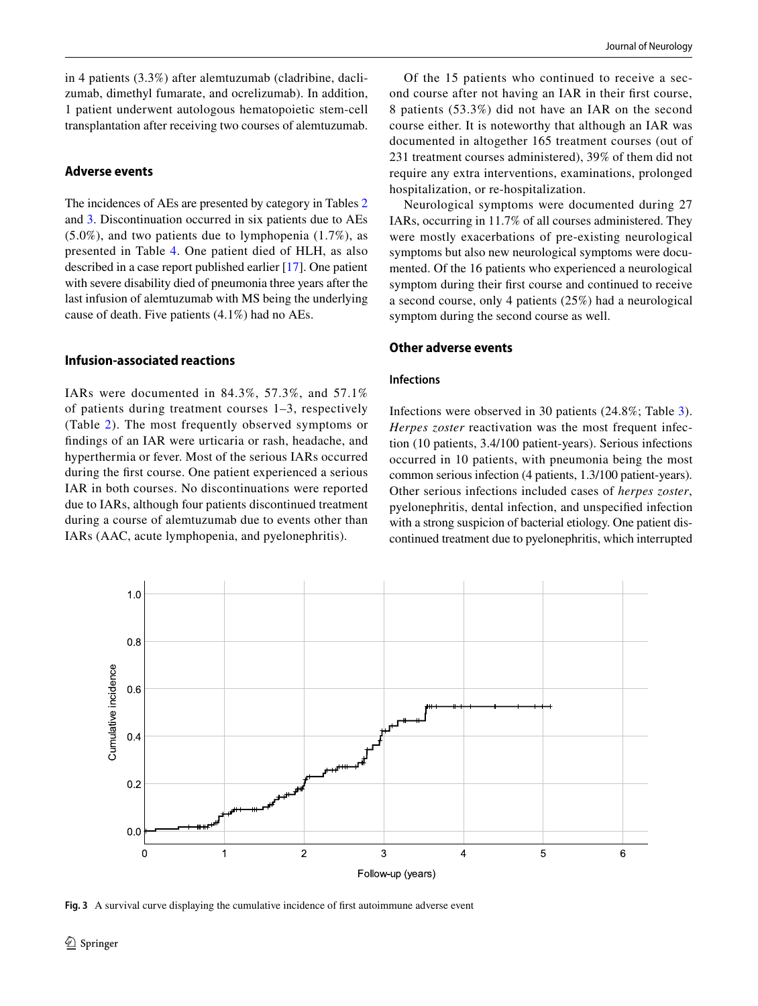in 4 patients (3.3%) after alemtuzumab (cladribine, daclizumab, dimethyl fumarate, and ocrelizumab). In addition, 1 patient underwent autologous hematopoietic stem-cell transplantation after receiving two courses of alemtuzumab.

#### **Adverse events**

The incidences of AEs are presented by category in Tables [2](#page-4-0) and [3](#page-4-1). Discontinuation occurred in six patients due to AEs (5.0%), and two patients due to lymphopenia (1.7%), as presented in Table [4](#page-4-2). One patient died of HLH, as also described in a case report published earlier [\[17](#page-10-5)]. One patient with severe disability died of pneumonia three years after the last infusion of alemtuzumab with MS being the underlying cause of death. Five patients (4.1%) had no AEs.

## **Infusion‑associated reactions**

IARs were documented in 84.3%, 57.3%, and 57.1% of patients during treatment courses 1–3, respectively (Table [2\)](#page-4-0). The most frequently observed symptoms or fndings of an IAR were urticaria or rash, headache, and hyperthermia or fever. Most of the serious IARs occurred during the frst course. One patient experienced a serious IAR in both courses. No discontinuations were reported due to IARs, although four patients discontinued treatment during a course of alemtuzumab due to events other than IARs (AAC, acute lymphopenia, and pyelonephritis).

Of the 15 patients who continued to receive a second course after not having an IAR in their frst course, 8 patients (53.3%) did not have an IAR on the second course either. It is noteworthy that although an IAR was documented in altogether 165 treatment courses (out of 231 treatment courses administered), 39% of them did not require any extra interventions, examinations, prolonged hospitalization, or re-hospitalization.

Neurological symptoms were documented during 27 IARs, occurring in 11.7% of all courses administered. They were mostly exacerbations of pre-existing neurological symptoms but also new neurological symptoms were documented. Of the 16 patients who experienced a neurological symptom during their frst course and continued to receive a second course, only 4 patients (25%) had a neurological symptom during the second course as well.

#### **Other adverse events**

#### **Infections**

Infections were observed in 30 patients (24.8%; Table [3](#page-4-1)). *Herpes zoster* reactivation was the most frequent infection (10 patients, 3.4/100 patient-years). Serious infections occurred in 10 patients, with pneumonia being the most common serious infection (4 patients, 1.3/100 patient-years). Other serious infections included cases of *herpes zoster*, pyelonephritis, dental infection, and unspecifed infection with a strong suspicion of bacterial etiology. One patient discontinued treatment due to pyelonephritis, which interrupted



<span id="page-5-0"></span>**Fig. 3** A survival curve displaying the cumulative incidence of frst autoimmune adverse event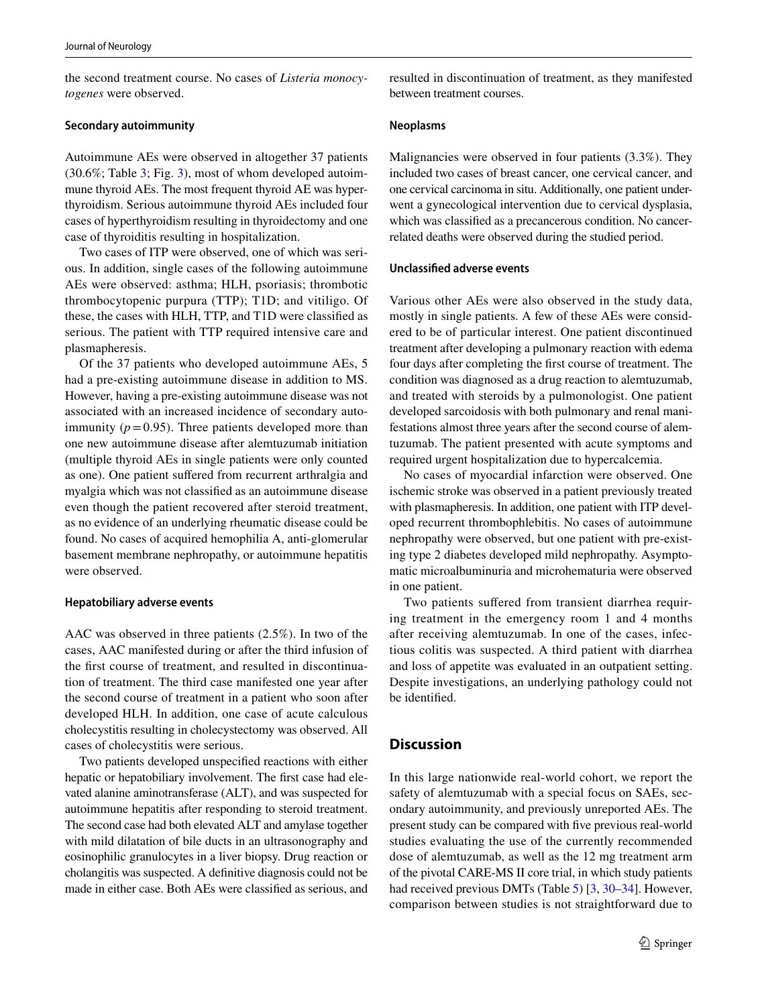the second treatment course. No cases of *Listeria monocytogenes* were observed.

#### **Secondary autoimmunity**

Autoimmune AEs were observed in altogether 37 patients (30.6%; Table [3](#page-4-1); Fig. [3](#page-5-0)), most of whom developed autoimmune thyroid AEs. The most frequent thyroid AE was hyperthyroidism. Serious autoimmune thyroid AEs included four cases of hyperthyroidism resulting in thyroidectomy and one case of thyroiditis resulting in hospitalization.

Two cases of ITP were observed, one of which was serious. In addition, single cases of the following autoimmune AEs were observed: asthma; HLH, psoriasis; thrombotic thrombocytopenic purpura (TTP); T1D; and vitiligo. Of these, the cases with HLH, TTP, and T1D were classifed as serious. The patient with TTP required intensive care and plasmapheresis.

Of the 37 patients who developed autoimmune AEs, 5 had a pre-existing autoimmune disease in addition to MS. However, having a pre-existing autoimmune disease was not associated with an increased incidence of secondary autoimmunity  $(p=0.95)$ . Three patients developed more than one new autoimmune disease after alemtuzumab initiation (multiple thyroid AEs in single patients were only counted as one). One patient sufered from recurrent arthralgia and myalgia which was not classifed as an autoimmune disease even though the patient recovered after steroid treatment, as no evidence of an underlying rheumatic disease could be found. No cases of acquired hemophilia A, anti-glomerular basement membrane nephropathy, or autoimmune hepatitis were observed.

#### **Hepatobiliary adverse events**

AAC was observed in three patients (2.5%). In two of the cases, AAC manifested during or after the third infusion of the frst course of treatment, and resulted in discontinuation of treatment. The third case manifested one year after the second course of treatment in a patient who soon after developed HLH. In addition, one case of acute calculous cholecystitis resulting in cholecystectomy was observed. All cases of cholecystitis were serious.

Two patients developed unspecifed reactions with either hepatic or hepatobiliary involvement. The first case had elevated alanine aminotransferase (ALT), and was suspected for autoimmune hepatitis after responding to steroid treatment. The second case had both elevated ALT and amylase together with mild dilatation of bile ducts in an ultrasonography and eosinophilic granulocytes in a liver biopsy. Drug reaction or cholangitis was suspected. A defnitive diagnosis could not be made in either case. Both AEs were classifed as serious, and resulted in discontinuation of treatment, as they manifested between treatment courses.

#### **Neoplasms**

Malignancies were observed in four patients (3.3%). They included two cases of breast cancer, one cervical cancer, and one cervical carcinoma in situ. Additionally, one patient underwent a gynecological intervention due to cervical dysplasia, which was classifed as a precancerous condition. No cancerrelated deaths were observed during the studied period.

#### **Unclassifed adverse events**

Various other AEs were also observed in the study data, mostly in single patients. A few of these AEs were considered to be of particular interest. One patient discontinued treatment after developing a pulmonary reaction with edema four days after completing the frst course of treatment. The condition was diagnosed as a drug reaction to alemtuzumab, and treated with steroids by a pulmonologist. One patient developed sarcoidosis with both pulmonary and renal manifestations almost three years after the second course of alemtuzumab. The patient presented with acute symptoms and required urgent hospitalization due to hypercalcemia.

No cases of myocardial infarction were observed. One ischemic stroke was observed in a patient previously treated with plasmapheresis. In addition, one patient with ITP developed recurrent thrombophlebitis. No cases of autoimmune nephropathy were observed, but one patient with pre-existing type 2 diabetes developed mild nephropathy. Asymptomatic microalbuminuria and microhematuria were observed in one patient.

Two patients suffered from transient diarrhea requiring treatment in the emergency room 1 and 4 months after receiving alemtuzumab. In one of the cases, infectious colitis was suspected. A third patient with diarrhea and loss of appetite was evaluated in an outpatient setting. Despite investigations, an underlying pathology could not be identifed.

#### **Discussion**

In this large nationwide real-world cohort, we report the safety of alemtuzumab with a special focus on SAEs, secondary autoimmunity, and previously unreported AEs. The present study can be compared with fve previous real-world studies evaluating the use of the currently recommended dose of alemtuzumab, as well as the 12 mg treatment arm of the pivotal CARE-MS II core trial, in which study patients had received previous DMTs (Table [5](#page-7-0)) [[3,](#page-9-1) [30](#page-10-13)[–34](#page-10-14)]. However, comparison between studies is not straightforward due to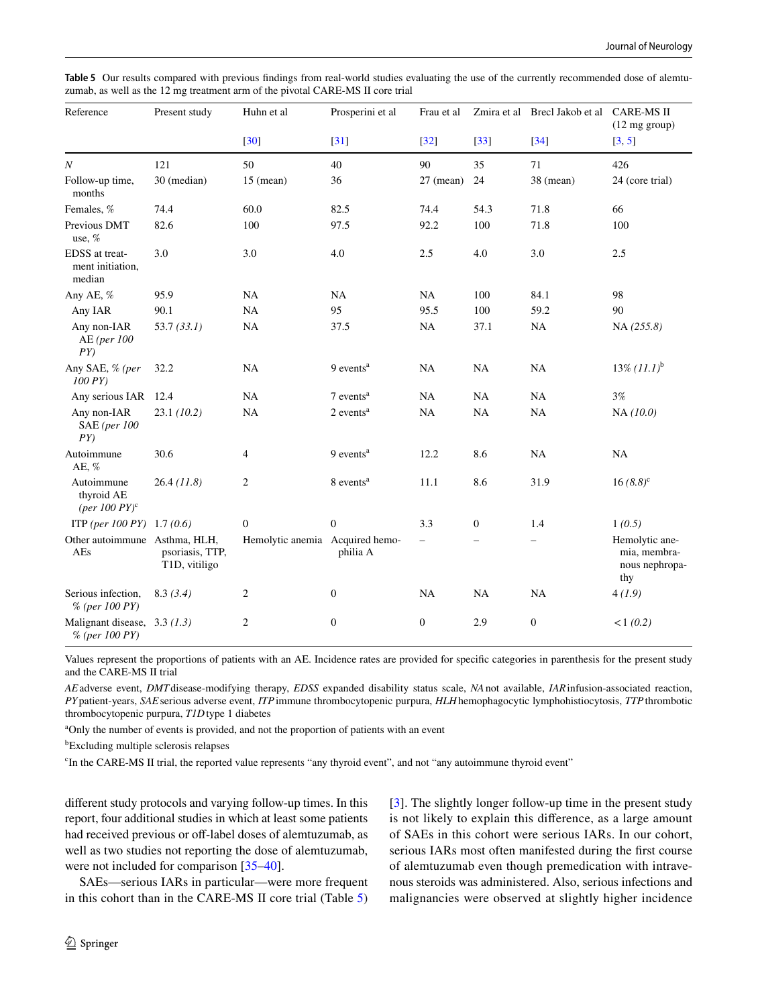| Reference                                                    | Present study                    | Huhn et al                      | Prosperini et al        | Frau et al               |                          | Zmira et al Brecl Jakob et al | <b>CARE-MS II</b><br>(12 mg group)                      |
|--------------------------------------------------------------|----------------------------------|---------------------------------|-------------------------|--------------------------|--------------------------|-------------------------------|---------------------------------------------------------|
|                                                              |                                  | $[30]$                          | $[31]$                  | $[32]$                   | $[33]$                   | $[34]$                        | [3, 5]                                                  |
| $\boldsymbol{N}$                                             | 121                              | 50                              | 40                      | 90                       | 35                       | 71                            | 426                                                     |
| Follow-up time,<br>months                                    | 30 (median)                      | $15$ (mean)                     | 36                      | $27$ (mean)              | 24                       | 38 (mean)                     | 24 (core trial)                                         |
| Females, %                                                   | 74.4                             | 60.0                            | 82.5                    | 74.4                     | 54.3                     | 71.8                          | 66                                                      |
| Previous DMT<br>use, %                                       | 82.6                             | 100                             | 97.5                    | 92.2                     | 100                      | 71.8                          | 100                                                     |
| EDSS at treat-<br>ment initiation.<br>median                 | 3.0                              | 3.0                             | 4.0                     | 2.5                      | 4.0                      | 3.0                           | 2.5                                                     |
| Any AE, %                                                    | 95.9                             | <b>NA</b>                       | <b>NA</b>               | <b>NA</b>                | 100                      | 84.1                          | 98                                                      |
| Any IAR                                                      | 90.1                             | <b>NA</b>                       | 95                      | 95.5                     | 100                      | 59.2                          | 90                                                      |
| Any non-IAR<br>AE (per 100<br>PY                             | 53.7(33.1)                       | <b>NA</b>                       | 37.5                    | NA                       | 37.1                     | NA                            | NA(255.8)                                               |
| Any SAE, % (per<br>$100 \, PY$                               | 32.2                             | <b>NA</b>                       | 9 events <sup>a</sup>   | <b>NA</b>                | NA                       | NA                            | $13\% (11.1)^{b}$                                       |
| Any serious IAR                                              | 12.4                             | <b>NA</b>                       | $7$ events <sup>a</sup> | NA                       | NA                       | NA                            | $3\%$                                                   |
| Any non-IAR<br><b>SAE</b> (per 100<br>PY                     | 23.1(10.2)                       | NA                              | 2 events <sup>a</sup>   | NA                       | NA                       | <b>NA</b>                     | NA (10.0)                                               |
| Autoimmune<br>AE, %                                          | 30.6                             | $\overline{4}$                  | 9 events <sup>a</sup>   | 12.2                     | 8.6                      | <b>NA</b>                     | NA                                                      |
| Autoimmune<br>thyroid AE<br>$(\text{per }100 \text{ } PY)^c$ | 26.4(11.8)                       | 2                               | 8 events <sup>a</sup>   | 11.1                     | 8.6                      | 31.9                          | $16(8.8)^c$                                             |
| ITP (per 100 PY) 1.7 (0.6)                                   |                                  | $\boldsymbol{0}$                | $\mathbf{0}$            | 3.3                      | $\mathbf{0}$             | 1.4                           | 1(0.5)                                                  |
| Other autoimmune Asthma, HLH,<br>AEs                         | psoriasis, TTP,<br>T1D, vitiligo | Hemolytic anemia Acquired hemo- | philia A                | $\overline{\phantom{0}}$ | $\overline{\phantom{0}}$ | $\qquad \qquad -$             | Hemolytic ane-<br>mia, membra-<br>nous nephropa-<br>thy |
| Serious infection,<br>$%$ (per 100 PY)                       | 8.3(3.4)                         | $\overline{c}$                  | $\boldsymbol{0}$        | <b>NA</b>                | NA                       | <b>NA</b>                     | 4(1.9)                                                  |
| Malignant disease, $3.3(1.3)$<br>$%$ (per 100 PY)            |                                  | $\overline{c}$                  | $\boldsymbol{0}$        | $\boldsymbol{0}$         | 2.9                      | $\boldsymbol{0}$              | <1(0.2)                                                 |

<span id="page-7-0"></span>**Table 5** Our results compared with previous fndings from real-world studies evaluating the use of the currently recommended dose of alemtuzumab, as well as the 12 mg treatment arm of the pivotal CARE-MS II core trial

Values represent the proportions of patients with an AE. Incidence rates are provided for specifc categories in parenthesis for the present study and the CARE-MS II trial

*AE*adverse event, *DMT*disease-modifying therapy, *EDSS*  expanded disability status scale, *NA*not available, *IAR*infusion-associated reaction, *PY*patient-years, *SAE*serious adverse event, *ITP*immune thrombocytopenic purpura, *HLH*hemophagocytic lymphohistiocytosis, *TTP*thrombotic thrombocytopenic purpura, *T1D*type 1 diabetes

<sup>a</sup>Only the number of events is provided, and not the proportion of patients with an event

b Excluding multiple sclerosis relapses

c In the CARE-MS II trial, the reported value represents "any thyroid event", and not "any autoimmune thyroid event"

diferent study protocols and varying follow-up times. In this report, four additional studies in which at least some patients had received previous or off-label doses of alemtuzumab, as well as two studies not reporting the dose of alemtuzumab, were not included for comparison [\[35–](#page-10-15)[40\]](#page-10-16).

SAEs—serious IARs in particular—were more frequent in this cohort than in the CARE-MS II core trial (Table [5\)](#page-7-0) [[3\]](#page-9-1). The slightly longer follow-up time in the present study is not likely to explain this diference, as a large amount of SAEs in this cohort were serious IARs. In our cohort, serious IARs most often manifested during the frst course of alemtuzumab even though premedication with intravenous steroids was administered. Also, serious infections and malignancies were observed at slightly higher incidence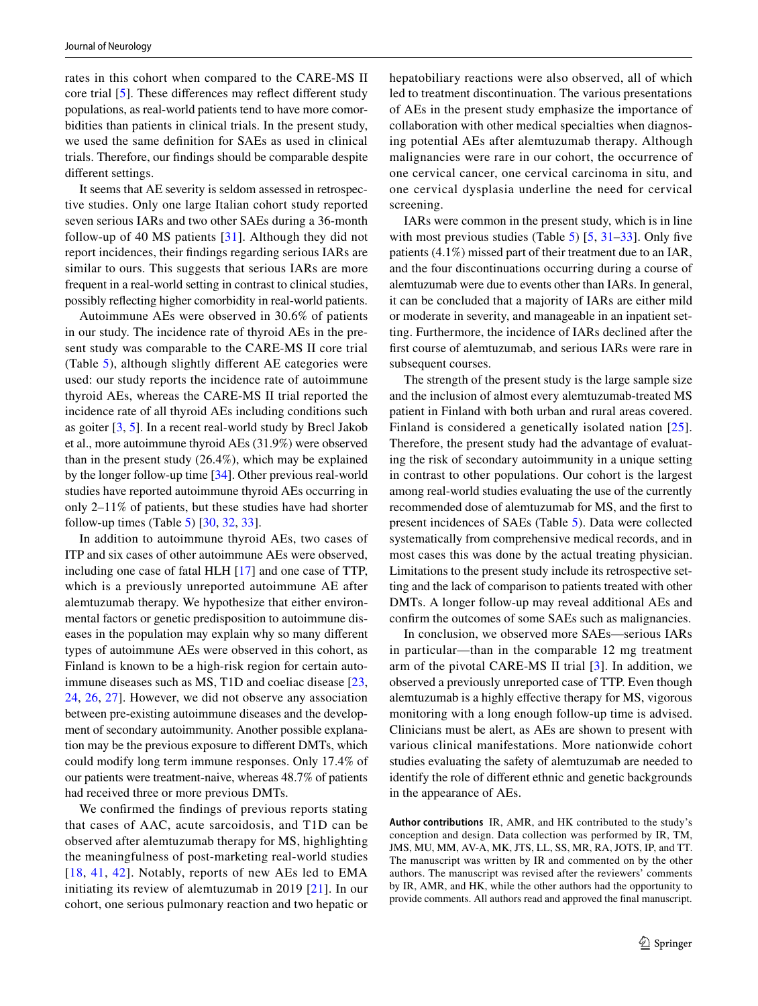rates in this cohort when compared to the CARE-MS II core trial [\[5](#page-9-7)]. These diferences may refect diferent study populations, as real-world patients tend to have more comorbidities than patients in clinical trials. In the present study, we used the same defnition for SAEs as used in clinical trials. Therefore, our fndings should be comparable despite diferent settings.

It seems that AE severity is seldom assessed in retrospective studies. Only one large Italian cohort study reported seven serious IARs and two other SAEs during a 36-month follow-up of 40 MS patients [[31](#page-10-17)]. Although they did not report incidences, their fndings regarding serious IARs are similar to ours. This suggests that serious IARs are more frequent in a real-world setting in contrast to clinical studies, possibly refecting higher comorbidity in real-world patients.

Autoimmune AEs were observed in 30.6% of patients in our study. The incidence rate of thyroid AEs in the present study was comparable to the CARE-MS II core trial (Table [5\)](#page-7-0), although slightly diferent AE categories were used: our study reports the incidence rate of autoimmune thyroid AEs, whereas the CARE-MS II trial reported the incidence rate of all thyroid AEs including conditions such as goiter [[3,](#page-9-1) [5\]](#page-9-7). In a recent real-world study by Brecl Jakob et al., more autoimmune thyroid AEs (31.9%) were observed than in the present study (26.4%), which may be explained by the longer follow-up time [[34\]](#page-10-14). Other previous real-world studies have reported autoimmune thyroid AEs occurring in only 2–11% of patients, but these studies have had shorter follow-up times (Table [5](#page-7-0))  $[30, 32, 33]$  $[30, 32, 33]$  $[30, 32, 33]$  $[30, 32, 33]$  $[30, 32, 33]$  $[30, 32, 33]$ .

In addition to autoimmune thyroid AEs, two cases of ITP and six cases of other autoimmune AEs were observed, including one case of fatal HLH [[17\]](#page-10-5) and one case of TTP, which is a previously unreported autoimmune AE after alemtuzumab therapy. We hypothesize that either environmental factors or genetic predisposition to autoimmune diseases in the population may explain why so many diferent types of autoimmune AEs were observed in this cohort, as Finland is known to be a high-risk region for certain autoimmune diseases such as MS, T1D and coeliac disease [[23,](#page-10-9) [24](#page-10-20), [26](#page-10-21), [27\]](#page-10-10). However, we did not observe any association between pre-existing autoimmune diseases and the development of secondary autoimmunity. Another possible explanation may be the previous exposure to diferent DMTs, which could modify long term immune responses. Only 17.4% of our patients were treatment-naive, whereas 48.7% of patients had received three or more previous DMTs.

We confrmed the fndings of previous reports stating that cases of AAC, acute sarcoidosis, and T1D can be observed after alemtuzumab therapy for MS, highlighting the meaningfulness of post-marketing real-world studies [[18](#page-10-22), [41](#page-10-23), [42](#page-10-24)]. Notably, reports of new AEs led to EMA initiating its review of alemtuzumab in 2019 [\[21\]](#page-10-7). In our cohort, one serious pulmonary reaction and two hepatic or hepatobiliary reactions were also observed, all of which led to treatment discontinuation. The various presentations of AEs in the present study emphasize the importance of collaboration with other medical specialties when diagnosing potential AEs after alemtuzumab therapy. Although malignancies were rare in our cohort, the occurrence of one cervical cancer, one cervical carcinoma in situ, and one cervical dysplasia underline the need for cervical screening.

IARs were common in the present study, which is in line with most previous studies (Table [5](#page-7-0))  $[5, 31-33]$  $[5, 31-33]$  $[5, 31-33]$  $[5, 31-33]$  $[5, 31-33]$  $[5, 31-33]$ . Only five patients (4.1%) missed part of their treatment due to an IAR, and the four discontinuations occurring during a course of alemtuzumab were due to events other than IARs. In general, it can be concluded that a majority of IARs are either mild or moderate in severity, and manageable in an inpatient setting. Furthermore, the incidence of IARs declined after the frst course of alemtuzumab, and serious IARs were rare in subsequent courses.

The strength of the present study is the large sample size and the inclusion of almost every alemtuzumab-treated MS patient in Finland with both urban and rural areas covered. Finland is considered a genetically isolated nation [[25](#page-10-25)]. Therefore, the present study had the advantage of evaluating the risk of secondary autoimmunity in a unique setting in contrast to other populations. Our cohort is the largest among real-world studies evaluating the use of the currently recommended dose of alemtuzumab for MS, and the frst to present incidences of SAEs (Table [5\)](#page-7-0). Data were collected systematically from comprehensive medical records, and in most cases this was done by the actual treating physician. Limitations to the present study include its retrospective setting and the lack of comparison to patients treated with other DMTs. A longer follow-up may reveal additional AEs and confrm the outcomes of some SAEs such as malignancies.

In conclusion, we observed more SAEs—serious IARs in particular—than in the comparable 12 mg treatment arm of the pivotal CARE-MS II trial [[3\]](#page-9-1). In addition, we observed a previously unreported case of TTP. Even though alemtuzumab is a highly efective therapy for MS, vigorous monitoring with a long enough follow-up time is advised. Clinicians must be alert, as AEs are shown to present with various clinical manifestations. More nationwide cohort studies evaluating the safety of alemtuzumab are needed to identify the role of diferent ethnic and genetic backgrounds in the appearance of AEs.

**Author contributions** IR, AMR, and HK contributed to the study's conception and design. Data collection was performed by IR, TM, JMS, MU, MM, AV-A, MK, JTS, LL, SS, MR, RA, JOTS, IP, and TT. The manuscript was written by IR and commented on by the other authors. The manuscript was revised after the reviewers' comments by IR, AMR, and HK, while the other authors had the opportunity to provide comments. All authors read and approved the fnal manuscript.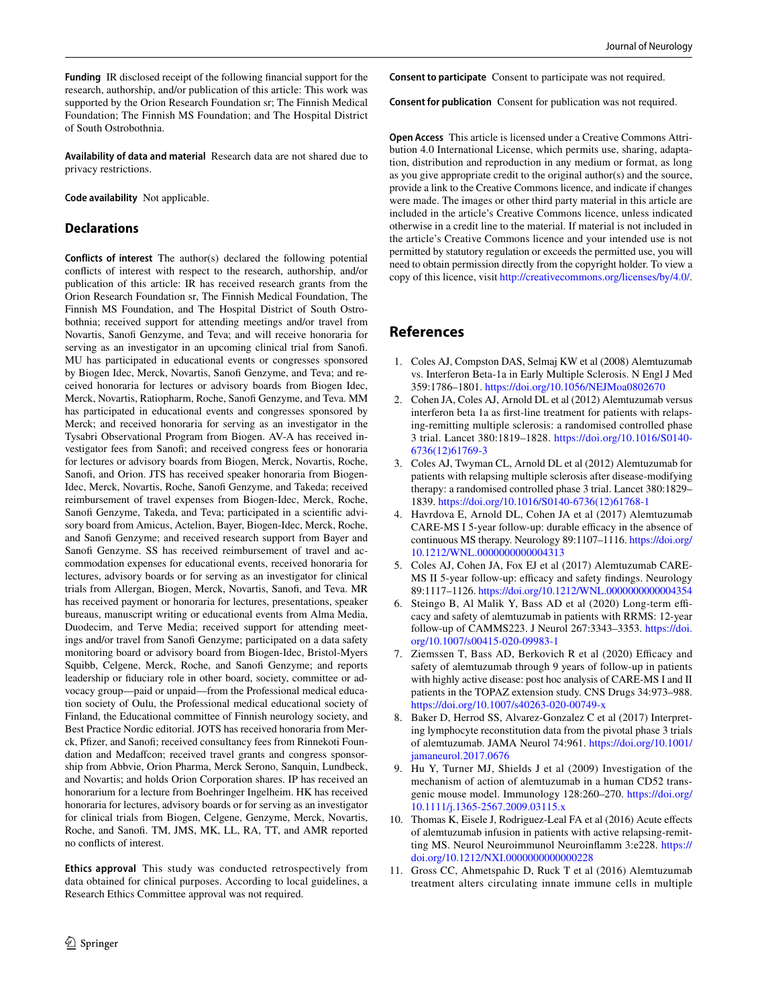**Funding** IR disclosed receipt of the following fnancial support for the research, authorship, and/or publication of this article: This work was supported by the Orion Research Foundation sr; The Finnish Medical Foundation; The Finnish MS Foundation; and The Hospital District of South Ostrobothnia.

**Availability of data and material** Research data are not shared due to privacy restrictions.

**Code availability** Not applicable.

### **Declarations**

**Conflicts of interest** The author(s) declared the following potential conficts of interest with respect to the research, authorship, and/or publication of this article: IR has received research grants from the Orion Research Foundation sr, The Finnish Medical Foundation, The Finnish MS Foundation, and The Hospital District of South Ostrobothnia; received support for attending meetings and/or travel from Novartis, Sanofi Genzyme, and Teva; and will receive honoraria for serving as an investigator in an upcoming clinical trial from Sanof. MU has participated in educational events or congresses sponsored by Biogen Idec, Merck, Novartis, Sanofi Genzyme, and Teva; and received honoraria for lectures or advisory boards from Biogen Idec, Merck, Novartis, Ratiopharm, Roche, Sanofi Genzyme, and Teva. MM has participated in educational events and congresses sponsored by Merck; and received honoraria for serving as an investigator in the Tysabri Observational Program from Biogen. AV-A has received investigator fees from Sanof; and received congress fees or honoraria for lectures or advisory boards from Biogen, Merck, Novartis, Roche, Sanof, and Orion. JTS has received speaker honoraria from Biogen-Idec, Merck, Novartis, Roche, Sanof Genzyme, and Takeda; received reimbursement of travel expenses from Biogen-Idec, Merck, Roche, Sanofi Genzyme, Takeda, and Teva; participated in a scientific advisory board from Amicus, Actelion, Bayer, Biogen-Idec, Merck, Roche, and Sanofi Genzyme; and received research support from Bayer and Sanofi Genzyme. SS has received reimbursement of travel and accommodation expenses for educational events, received honoraria for lectures, advisory boards or for serving as an investigator for clinical trials from Allergan, Biogen, Merck, Novartis, Sanof, and Teva. MR has received payment or honoraria for lectures, presentations, speaker bureaus, manuscript writing or educational events from Alma Media, Duodecim, and Terve Media; received support for attending meetings and/or travel from Sanofi Genzyme; participated on a data safety monitoring board or advisory board from Biogen-Idec, Bristol-Myers Squibb, Celgene, Merck, Roche, and Sanof Genzyme; and reports leadership or fduciary role in other board, society, committee or advocacy group—paid or unpaid—from the Professional medical education society of Oulu, the Professional medical educational society of Finland, the Educational committee of Finnish neurology society, and Best Practice Nordic editorial. JOTS has received honoraria from Merck, Pfizer, and Sanofi; received consultancy fees from Rinnekoti Foundation and Medaffcon; received travel grants and congress sponsorship from Abbvie, Orion Pharma, Merck Serono, Sanquin, Lundbeck, and Novartis; and holds Orion Corporation shares. IP has received an honorarium for a lecture from Boehringer Ingelheim. HK has received honoraria for lectures, advisory boards or for serving as an investigator for clinical trials from Biogen, Celgene, Genzyme, Merck, Novartis, Roche, and Sanof. TM, JMS, MK, LL, RA, TT, and AMR reported no conficts of interest.

**Ethics approval** This study was conducted retrospectively from data obtained for clinical purposes. According to local guidelines, a Research Ethics Committee approval was not required.

**Consent to participate** Consent to participate was not required.

**Consent for publication** Consent for publication was not required.

**Open Access** This article is licensed under a Creative Commons Attribution 4.0 International License, which permits use, sharing, adaptation, distribution and reproduction in any medium or format, as long as you give appropriate credit to the original author(s) and the source, provide a link to the Creative Commons licence, and indicate if changes were made. The images or other third party material in this article are included in the article's Creative Commons licence, unless indicated otherwise in a credit line to the material. If material is not included in the article's Creative Commons licence and your intended use is not permitted by statutory regulation or exceeds the permitted use, you will need to obtain permission directly from the copyright holder. To view a copy of this licence, visit<http://creativecommons.org/licenses/by/4.0/>.

## **References**

- <span id="page-9-0"></span>1. Coles AJ, Compston DAS, Selmaj KW et al (2008) Alemtuzumab vs. Interferon Beta-1a in Early Multiple Sclerosis. N Engl J Med 359:1786–1801.<https://doi.org/10.1056/NEJMoa0802670>
- <span id="page-9-8"></span>2. Cohen JA, Coles AJ, Arnold DL et al (2012) Alemtuzumab versus interferon beta 1a as frst-line treatment for patients with relapsing-remitting multiple sclerosis: a randomised controlled phase 3 trial. Lancet 380:1819–1828. [https://doi.org/10.1016/S0140-](https://doi.org/10.1016/S0140-6736(12)61769-3) [6736\(12\)61769-3](https://doi.org/10.1016/S0140-6736(12)61769-3)
- <span id="page-9-1"></span>3. Coles AJ, Twyman CL, Arnold DL et al (2012) Alemtuzumab for patients with relapsing multiple sclerosis after disease-modifying therapy: a randomised controlled phase 3 trial. Lancet 380:1829– 1839. [https://doi.org/10.1016/S0140-6736\(12\)61768-1](https://doi.org/10.1016/S0140-6736(12)61768-1)
- <span id="page-9-2"></span>4. Havrdova E, Arnold DL, Cohen JA et al (2017) Alemtuzumab CARE-MS I 5-year follow-up: durable efficacy in the absence of continuous MS therapy. Neurology 89:1107–1116. [https://doi.org/](https://doi.org/10.1212/WNL.0000000000004313) [10.1212/WNL.0000000000004313](https://doi.org/10.1212/WNL.0000000000004313)
- <span id="page-9-7"></span>5. Coles AJ, Cohen JA, Fox EJ et al (2017) Alemtuzumab CARE-MS II 5-year follow-up: efficacy and safety findings. Neurology 89:1117–1126.<https://doi.org/10.1212/WNL.0000000000004354>
- 6. Steingo B, Al Malik Y, Bass AD et al (2020) Long-term efficacy and safety of alemtuzumab in patients with RRMS: 12-year follow-up of CAMMS223. J Neurol 267:3343–3353. [https://doi.](https://doi.org/10.1007/s00415-020-09983-1) [org/10.1007/s00415-020-09983-1](https://doi.org/10.1007/s00415-020-09983-1)
- <span id="page-9-3"></span>7. Ziemssen T, Bass AD, Berkovich R et al (2020) Efficacy and safety of alemtuzumab through 9 years of follow-up in patients with highly active disease: post hoc analysis of CARE-MS I and II patients in the TOPAZ extension study. CNS Drugs 34:973–988. <https://doi.org/10.1007/s40263-020-00749-x>
- <span id="page-9-4"></span>8. Baker D, Herrod SS, Alvarez-Gonzalez C et al (2017) Interpreting lymphocyte reconstitution data from the pivotal phase 3 trials of alemtuzumab. JAMA Neurol 74:961. [https://doi.org/10.1001/](https://doi.org/10.1001/jamaneurol.2017.0676) [jamaneurol.2017.0676](https://doi.org/10.1001/jamaneurol.2017.0676)
- 9. Hu Y, Turner MJ, Shields J et al (2009) Investigation of the mechanism of action of alemtuzumab in a human CD52 transgenic mouse model. Immunology 128:260–270. [https://doi.org/](https://doi.org/10.1111/j.1365-2567.2009.03115.x) [10.1111/j.1365-2567.2009.03115.x](https://doi.org/10.1111/j.1365-2567.2009.03115.x)
- <span id="page-9-5"></span>10. Thomas K, Eisele J, Rodriguez-Leal FA et al (2016) Acute efects of alemtuzumab infusion in patients with active relapsing-remitting MS. Neurol Neuroimmunol Neuroinflamm 3:e228. [https://](https://doi.org/10.1212/NXI.0000000000000228) [doi.org/10.1212/NXI.0000000000000228](https://doi.org/10.1212/NXI.0000000000000228)
- <span id="page-9-6"></span>11. Gross CC, Ahmetspahic D, Ruck T et al (2016) Alemtuzumab treatment alters circulating innate immune cells in multiple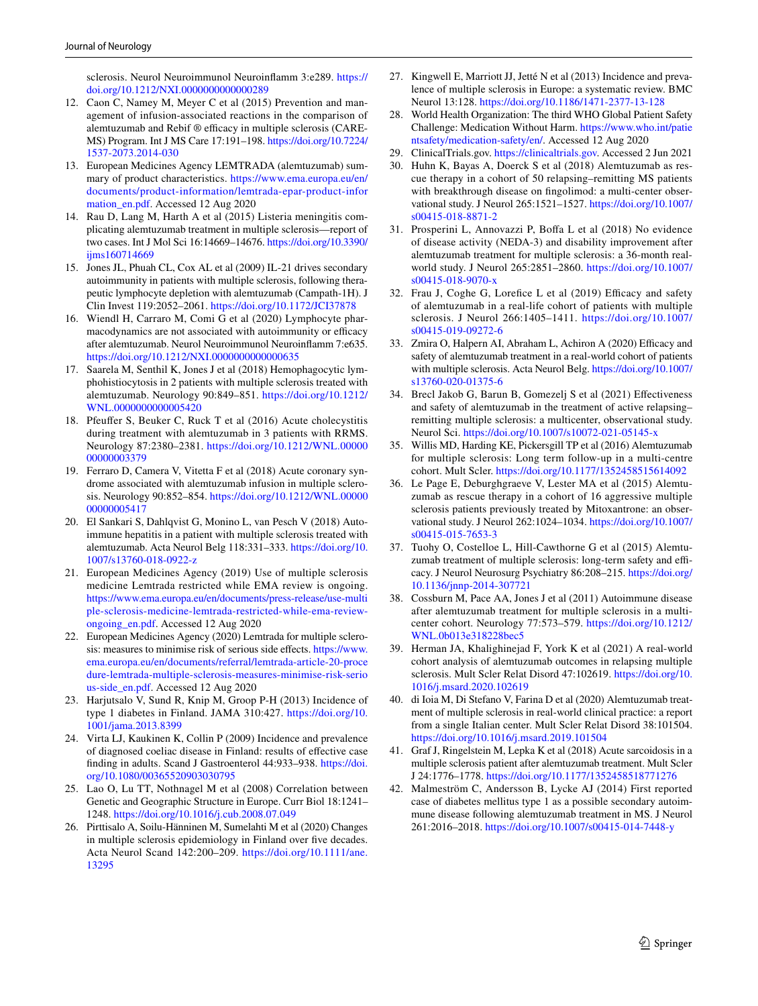sclerosis. Neurol Neuroimmunol Neuroinfamm 3:e289. [https://](https://doi.org/10.1212/NXI.0000000000000289) [doi.org/10.1212/NXI.0000000000000289](https://doi.org/10.1212/NXI.0000000000000289)

- <span id="page-10-0"></span>12. Caon C, Namey M, Meyer C et al (2015) Prevention and management of infusion-associated reactions in the comparison of alemtuzumab and Rebif  $\circledR$  efficacy in multiple sclerosis (CARE-MS) Program. Int J MS Care 17:191–198. [https://doi.org/10.7224/](https://doi.org/10.7224/1537-2073.2014-030) [1537-2073.2014-030](https://doi.org/10.7224/1537-2073.2014-030)
- <span id="page-10-1"></span>13. European Medicines Agency LEMTRADA (alemtuzumab) summary of product characteristics. [https://www.ema.europa.eu/en/](https://www.ema.europa.eu/en/documents/product-information/lemtrada-epar-product-information_en.pdf) [documents/product-information/lemtrada-epar-product-infor](https://www.ema.europa.eu/en/documents/product-information/lemtrada-epar-product-information_en.pdf) mation en.pdf. Accessed 12 Aug 2020
- <span id="page-10-2"></span>14. Rau D, Lang M, Harth A et al (2015) Listeria meningitis complicating alemtuzumab treatment in multiple sclerosis—report of two cases. Int J Mol Sci 16:14669–14676. [https://doi.org/10.3390/](https://doi.org/10.3390/ijms160714669) [ijms160714669](https://doi.org/10.3390/ijms160714669)
- <span id="page-10-3"></span>15. Jones JL, Phuah CL, Cox AL et al (2009) IL-21 drives secondary autoimmunity in patients with multiple sclerosis, following therapeutic lymphocyte depletion with alemtuzumab (Campath-1H). J Clin Invest 119:2052–2061. <https://doi.org/10.1172/JCI37878>
- <span id="page-10-4"></span>16. Wiendl H, Carraro M, Comi G et al (2020) Lymphocyte pharmacodynamics are not associated with autoimmunity or efficacy after alemtuzumab. Neurol Neuroimmunol Neuroinfamm 7:e635. https://doi.org/10.1212/NXI.00000000000000635
- <span id="page-10-5"></span>17. Saarela M, Senthil K, Jones J et al (2018) Hemophagocytic lymphohistiocytosis in 2 patients with multiple sclerosis treated with alemtuzumab. Neurology 90:849–851. [https://doi.org/10.1212/](https://doi.org/10.1212/WNL.0000000000005420) [WNL.0000000000005420](https://doi.org/10.1212/WNL.0000000000005420)
- <span id="page-10-22"></span>18. Pfeufer S, Beuker C, Ruck T et al (2016) Acute cholecystitis during treatment with alemtuzumab in 3 patients with RRMS. Neurology 87:2380–2381. [https://doi.org/10.1212/WNL.00000](https://doi.org/10.1212/WNL.0000000000003379) [00000003379](https://doi.org/10.1212/WNL.0000000000003379)
- 19. Ferraro D, Camera V, Vitetta F et al (2018) Acute coronary syndrome associated with alemtuzumab infusion in multiple sclerosis. Neurology 90:852–854. [https://doi.org/10.1212/WNL.00000](https://doi.org/10.1212/WNL.0000000000005417) [00000005417](https://doi.org/10.1212/WNL.0000000000005417)
- <span id="page-10-6"></span>20. El Sankari S, Dahlqvist G, Monino L, van Pesch V (2018) Autoimmune hepatitis in a patient with multiple sclerosis treated with alemtuzumab. Acta Neurol Belg 118:331–333. [https://doi.org/10.](https://doi.org/10.1007/s13760-018-0922-z) [1007/s13760-018-0922-z](https://doi.org/10.1007/s13760-018-0922-z)
- <span id="page-10-7"></span>21. European Medicines Agency (2019) Use of multiple sclerosis medicine Lemtrada restricted while EMA review is ongoing. [https://www.ema.europa.eu/en/documents/press-release/use-multi](https://www.ema.europa.eu/en/documents/press-release/use-multiple-sclerosis-medicine-lemtrada-restricted-while-ema-review-ongoing_en.pdf) [ple-sclerosis-medicine-lemtrada-restricted-while-ema-review](https://www.ema.europa.eu/en/documents/press-release/use-multiple-sclerosis-medicine-lemtrada-restricted-while-ema-review-ongoing_en.pdf)[ongoing\\_en.pdf](https://www.ema.europa.eu/en/documents/press-release/use-multiple-sclerosis-medicine-lemtrada-restricted-while-ema-review-ongoing_en.pdf). Accessed 12 Aug 2020
- <span id="page-10-8"></span>22. European Medicines Agency (2020) Lemtrada for multiple sclerosis: measures to minimise risk of serious side efects. [https://www.](https://www.ema.europa.eu/en/documents/referral/lemtrada-article-20-procedure-lemtrada-multiple-sclerosis-measures-minimise-risk-serious-side_en.pdf) [ema.europa.eu/en/documents/referral/lemtrada-article-20-proce](https://www.ema.europa.eu/en/documents/referral/lemtrada-article-20-procedure-lemtrada-multiple-sclerosis-measures-minimise-risk-serious-side_en.pdf) [dure-lemtrada-multiple-sclerosis-measures-minimise-risk-serio](https://www.ema.europa.eu/en/documents/referral/lemtrada-article-20-procedure-lemtrada-multiple-sclerosis-measures-minimise-risk-serious-side_en.pdf) [us-side\\_en.pdf](https://www.ema.europa.eu/en/documents/referral/lemtrada-article-20-procedure-lemtrada-multiple-sclerosis-measures-minimise-risk-serious-side_en.pdf). Accessed 12 Aug 2020
- <span id="page-10-9"></span>23. Harjutsalo V, Sund R, Knip M, Groop P-H (2013) Incidence of type 1 diabetes in Finland. JAMA 310:427. [https://doi.org/10.](https://doi.org/10.1001/jama.2013.8399) [1001/jama.2013.8399](https://doi.org/10.1001/jama.2013.8399)
- <span id="page-10-20"></span>24. Virta LJ, Kaukinen K, Collin P (2009) Incidence and prevalence of diagnosed coeliac disease in Finland: results of efective case fnding in adults. Scand J Gastroenterol 44:933–938. [https://doi.](https://doi.org/10.1080/00365520903030795) [org/10.1080/00365520903030795](https://doi.org/10.1080/00365520903030795)
- <span id="page-10-25"></span>25. Lao O, Lu TT, Nothnagel M et al (2008) Correlation between Genetic and Geographic Structure in Europe. Curr Biol 18:1241– 1248.<https://doi.org/10.1016/j.cub.2008.07.049>
- <span id="page-10-21"></span>26. Pirttisalo A, Soilu-Hänninen M, Sumelahti M et al (2020) Changes in multiple sclerosis epidemiology in Finland over fve decades. Acta Neurol Scand 142:200–209. [https://doi.org/10.1111/ane.](https://doi.org/10.1111/ane.13295) [13295](https://doi.org/10.1111/ane.13295)
- <span id="page-10-10"></span>27. Kingwell E, Marriott JJ, Jetté N et al (2013) Incidence and prevalence of multiple sclerosis in Europe: a systematic review. BMC Neurol 13:128.<https://doi.org/10.1186/1471-2377-13-128>
- <span id="page-10-11"></span>28. World Health Organization: The third WHO Global Patient Safety Challenge: Medication Without Harm. [https://www.who.int/patie](https://www.who.int/patientsafety/medication-safety/en/) [ntsafety/medication-safety/en/.](https://www.who.int/patientsafety/medication-safety/en/) Accessed 12 Aug 2020
- <span id="page-10-12"></span>29. ClinicalTrials.gov.<https://clinicaltrials.gov>. Accessed 2 Jun 2021
- <span id="page-10-13"></span>30. Huhn K, Bayas A, Doerck S et al (2018) Alemtuzumab as rescue therapy in a cohort of 50 relapsing–remitting MS patients with breakthrough disease on fngolimod: a multi-center observational study. J Neurol 265:1521–1527. [https://doi.org/10.1007/](https://doi.org/10.1007/s00415-018-8871-2) [s00415-018-8871-2](https://doi.org/10.1007/s00415-018-8871-2)
- <span id="page-10-17"></span>31. Prosperini L, Annovazzi P, Bofa L et al (2018) No evidence of disease activity (NEDA-3) and disability improvement after alemtuzumab treatment for multiple sclerosis: a 36-month realworld study. J Neurol 265:2851–2860. [https://doi.org/10.1007/](https://doi.org/10.1007/s00415-018-9070-x) [s00415-018-9070-x](https://doi.org/10.1007/s00415-018-9070-x)
- <span id="page-10-18"></span>32. Frau J, Coghe G, Lorefice L et al (2019) Efficacy and safety of alemtuzumab in a real-life cohort of patients with multiple sclerosis. J Neurol 266:1405–1411. [https://doi.org/10.1007/](https://doi.org/10.1007/s00415-019-09272-6) [s00415-019-09272-6](https://doi.org/10.1007/s00415-019-09272-6)
- <span id="page-10-19"></span>33. Zmira O, Halpern AI, Abraham L, Achiron A (2020) Efficacy and safety of alemtuzumab treatment in a real-world cohort of patients with multiple sclerosis. Acta Neurol Belg. [https://doi.org/10.1007/](https://doi.org/10.1007/s13760-020-01375-6) [s13760-020-01375-6](https://doi.org/10.1007/s13760-020-01375-6)
- <span id="page-10-14"></span>34. Brecl Jakob G, Barun B, Gomezelj S et al (2021) Efectiveness and safety of alemtuzumab in the treatment of active relapsing– remitting multiple sclerosis: a multicenter, observational study. Neurol Sci.<https://doi.org/10.1007/s10072-021-05145-x>
- <span id="page-10-15"></span>35. Willis MD, Harding KE, Pickersgill TP et al (2016) Alemtuzumab for multiple sclerosis: Long term follow-up in a multi-centre cohort. Mult Scler. <https://doi.org/10.1177/1352458515614092>
- 36. Le Page E, Deburghgraeve V, Lester MA et al (2015) Alemtuzumab as rescue therapy in a cohort of 16 aggressive multiple sclerosis patients previously treated by Mitoxantrone: an observational study. J Neurol 262:1024–1034. [https://doi.org/10.1007/](https://doi.org/10.1007/s00415-015-7653-3) [s00415-015-7653-3](https://doi.org/10.1007/s00415-015-7653-3)
- 37. Tuohy O, Costelloe L, Hill-Cawthorne G et al (2015) Alemtuzumab treatment of multiple sclerosis: long-term safety and efficacy. J Neurol Neurosurg Psychiatry 86:208–215. [https://doi.org/](https://doi.org/10.1136/jnnp-2014-307721) [10.1136/jnnp-2014-307721](https://doi.org/10.1136/jnnp-2014-307721)
- 38. Cossburn M, Pace AA, Jones J et al (2011) Autoimmune disease after alemtuzumab treatment for multiple sclerosis in a multicenter cohort. Neurology 77:573–579. [https://doi.org/10.1212/](https://doi.org/10.1212/WNL.0b013e318228bec5) [WNL.0b013e318228bec5](https://doi.org/10.1212/WNL.0b013e318228bec5)
- 39. Herman JA, Khalighinejad F, York K et al (2021) A real-world cohort analysis of alemtuzumab outcomes in relapsing multiple sclerosis. Mult Scler Relat Disord 47:102619. [https://doi.org/10.](https://doi.org/10.1016/j.msard.2020.102619) [1016/j.msard.2020.102619](https://doi.org/10.1016/j.msard.2020.102619)
- <span id="page-10-16"></span>40. di Ioia M, Di Stefano V, Farina D et al (2020) Alemtuzumab treatment of multiple sclerosis in real-world clinical practice: a report from a single Italian center. Mult Scler Relat Disord 38:101504. <https://doi.org/10.1016/j.msard.2019.101504>
- <span id="page-10-23"></span>41. Graf J, Ringelstein M, Lepka K et al (2018) Acute sarcoidosis in a multiple sclerosis patient after alemtuzumab treatment. Mult Scler J 24:1776–1778.<https://doi.org/10.1177/1352458518771276>
- <span id="page-10-24"></span>42. Malmeström C, Andersson B, Lycke AJ (2014) First reported case of diabetes mellitus type 1 as a possible secondary autoimmune disease following alemtuzumab treatment in MS. J Neurol 261:2016–2018.<https://doi.org/10.1007/s00415-014-7448-y>